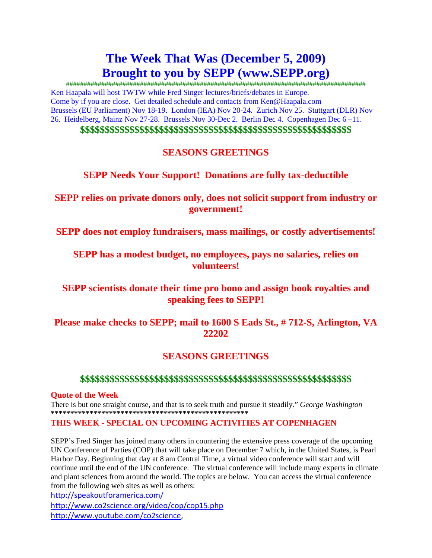# **The Week That Was (December 5, 2009) Brought to you by SEPP (www.SEPP.org)**

##################################################################################### Ken Haapala will host TWTW while Fred Singer lectures/briefs/debates in Europe. Come by if you are close. Get detailed schedule and contacts from Ken@Haapala.com Brussels (EU Parliament) Nov 18-19. London (IEA) Nov 20-24. Zurich Nov 25. Stuttgart (DLR) Nov 26. Heidelberg, Mainz Nov 27-28. Brussels Nov 30-Dec 2. Berlin Dec 4. Copenhagen Dec 6 –11. **\$\$\$\$\$\$\$\$\$\$\$\$\$\$\$\$\$\$\$\$\$\$\$\$\$\$\$\$\$\$\$\$\$\$\$\$\$\$\$\$\$\$\$\$\$\$\$\$\$\$\$\$\$\$\$** 

## **SEASONS GREETINGS**

## **SEPP Needs Your Support! Donations are fully tax-deductible**

## **SEPP relies on private donors only, does not solicit support from industry or government!**

**SEPP does not employ fundraisers, mass mailings, or costly advertisements!** 

## **SEPP has a modest budget, no employees, pays no salaries, relies on volunteers!**

## **SEPP scientists donate their time pro bono and assign book royalties and speaking fees to SEPP!**

## **Please make checks to SEPP; mail to 1600 S Eads St., # 712-S, Arlington, VA 22202**

# **SEASONS GREETINGS**

## **\$\$\$\$\$\$\$\$\$\$\$\$\$\$\$\$\$\$\$\$\$\$\$\$\$\$\$\$\$\$\$\$\$\$\$\$\$\$\$\$\$\$\$\$\$\$\$\$\$\$\$\$\$\$\$**

#### **Quote of the Week**

There is but one straight course, and that is to seek truth and pursue it steadily." *George Washington*  **\*\*\*\*\*\*\*\*\*\*\*\*\*\*\*\*\*\*\*\*\*\*\*\*\*\*\*\*\*\*\*\*\*\*\*\*\*\*\*\*\*\*\*\*\*\*\*\*\*\*\*** 

**THIS WEEK - SPECIAL ON UPCOMING ACTIVITIES AT COPENHAGEN** 

SEPP's Fred Singer has joined many others in countering the extensive press coverage of the upcoming UN Conference of Parties (COP) that will take place on December 7 which, in the United States, is Pearl Harbor Day. Beginning that day at 8 am Central Time, a virtual video conference will start and will continue until the end of the UN conference. The virtual conference will include many experts in climate and plant sciences from around the world. The topics are below. You can access the virtual conference from the following web sites as well as others:

http://speakoutforamerica.com/

http://www.co2science.org/video/cop/cop15.php http://www.youtube.com/co2science,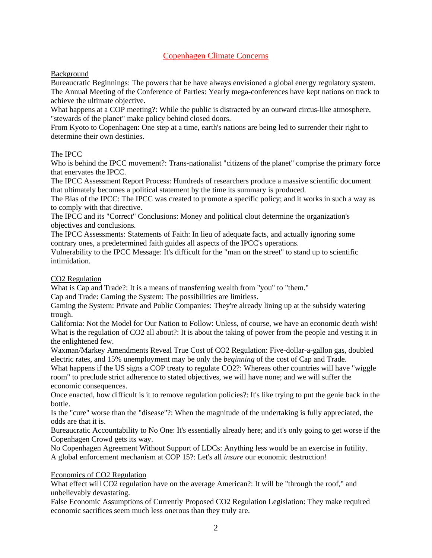## Copenhagen Climate Concerns

#### Background

Bureaucratic Beginnings: The powers that be have always envisioned a global energy regulatory system. The Annual Meeting of the Conference of Parties: Yearly mega-conferences have kept nations on track to achieve the ultimate objective.

What happens at a COP meeting?: While the public is distracted by an outward circus-like atmosphere, "stewards of the planet" make policy behind closed doors.

From Kyoto to Copenhagen: One step at a time, earth's nations are being led to surrender their right to determine their own destinies.

#### The IPCC

Who is behind the IPCC movement?: Trans-nationalist "citizens of the planet" comprise the primary force that enervates the IPCC.

The IPCC Assessment Report Process: Hundreds of researchers produce a massive scientific document that ultimately becomes a political statement by the time its summary is produced.

The Bias of the IPCC: The IPCC was created to promote a specific policy; and it works in such a way as to comply with that directive.

The IPCC and its "Correct" Conclusions: Money and political clout determine the organization's objectives and conclusions.

The IPCC Assessments: Statements of Faith: In lieu of adequate facts, and actually ignoring some contrary ones, a predetermined faith guides all aspects of the IPCC's operations.

Vulnerability to the IPCC Message: It's difficult for the "man on the street" to stand up to scientific intimidation.

#### CO2 Regulation

What is Cap and Trade?: It is a means of transferring wealth from "you" to "them."

Cap and Trade: Gaming the System: The possibilities are limitless.

Gaming the System: Private and Public Companies: They're already lining up at the subsidy watering trough.

California: Not the Model for Our Nation to Follow: Unless, of course, we have an economic death wish! What is the regulation of CO2 all about?: It is about the taking of power from the people and vesting it in the enlightened few.

Waxman/Markey Amendments Reveal True Cost of CO2 Regulation: Five-dollar-a-gallon gas, doubled electric rates, and 15% unemployment may be only the *beginning* of the cost of Cap and Trade.

What happens if the US signs a COP treaty to regulate CO2?: Whereas other countries will have "wiggle" room" to preclude strict adherence to stated objectives, we will have none; and we will suffer the economic consequences.

Once enacted, how difficult is it to remove regulation policies?: It's like trying to put the genie back in the bottle.

Is the "cure" worse than the "disease"?: When the magnitude of the undertaking is fully appreciated, the odds are that it is.

Bureaucratic Accountability to No One: It's essentially already here; and it's only going to get worse if the Copenhagen Crowd gets its way.

No Copenhagen Agreement Without Support of LDCs: Anything less would be an exercise in futility. A global enforcement mechanism at COP 15?: Let's all *insure* our economic destruction!

#### Economics of CO2 Regulation

What effect will CO2 regulation have on the average American?: It will be "through the roof," and unbelievably devastating.

False Economic Assumptions of Currently Proposed CO2 Regulation Legislation: They make required economic sacrifices seem much less onerous than they truly are.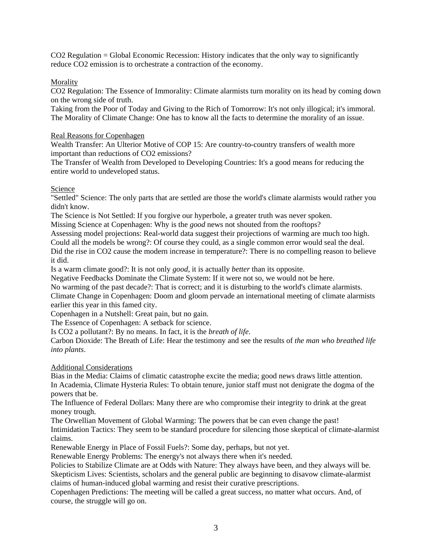CO2 Regulation = Global Economic Recession: History indicates that the only way to significantly reduce CO2 emission is to orchestrate a contraction of the economy.

#### Morality

CO2 Regulation: The Essence of Immorality: Climate alarmists turn morality on its head by coming down on the wrong side of truth.

Taking from the Poor of Today and Giving to the Rich of Tomorrow: It's not only illogical; it's immoral. The Morality of Climate Change: One has to know all the facts to determine the morality of an issue.

#### Real Reasons for Copenhagen

Wealth Transfer: An Ulterior Motive of COP 15: Are country-to-country transfers of wealth more important than reductions of CO2 emissions?

The Transfer of Wealth from Developed to Developing Countries: It's a good means for reducing the entire world to undeveloped status.

#### Science

"Settled" Science: The only parts that are settled are those the world's climate alarmists would rather you didn't know.

The Science is Not Settled: If you forgive our hyperbole, a greater truth was never spoken.

Missing Science at Copenhagen: Why is the *good* news not shouted from the rooftops?

Assessing model projections: Real-world data suggest their projections of warming are much too high. Could all the models be wrong?: Of course they could, as a single common error would seal the deal. Did the rise in CO2 cause the modern increase in temperature?: There is no compelling reason to believe

it did.

Is a warm climate good?: It is not only *good*, it is actually *better* than its opposite.

Negative Feedbacks Dominate the Climate System: If it were not so, we would not be here.

No warming of the past decade?: That is correct; and it is disturbing to the world's climate alarmists. Climate Change in Copenhagen: Doom and gloom pervade an international meeting of climate alarmists earlier this year in this famed city.

Copenhagen in a Nutshell: Great pain, but no gain.

The Essence of Copenhagen: A setback for science.

Is CO2 a pollutant?: By no means. In fact, it is the *breath of life*.

Carbon Dioxide: The Breath of Life: Hear the testimony and see the results of *the man who breathed life into plants*.

#### Additional Considerations

Bias in the Media: Claims of climatic catastrophe excite the media; good news draws little attention. In Academia, Climate Hysteria Rules: To obtain tenure, junior staff must not denigrate the dogma of the powers that be.

The Influence of Federal Dollars: Many there are who compromise their integrity to drink at the great money trough.

The Orwellian Movement of Global Warming: The powers that be can even change the past!

Intimidation Tactics: They seem to be standard procedure for silencing those skeptical of climate-alarmist claims.

Renewable Energy in Place of Fossil Fuels?: Some day, perhaps, but not yet.

Renewable Energy Problems: The energy's not always there when it's needed.

Policies to Stabilize Climate are at Odds with Nature: They always have been, and they always will be. Skepticism Lives: Scientists, scholars and the general public are beginning to disavow climate-alarmist claims of human-induced global warming and resist their curative prescriptions.

Copenhagen Predictions: The meeting will be called a great success, no matter what occurs. And, of course, the struggle will go on.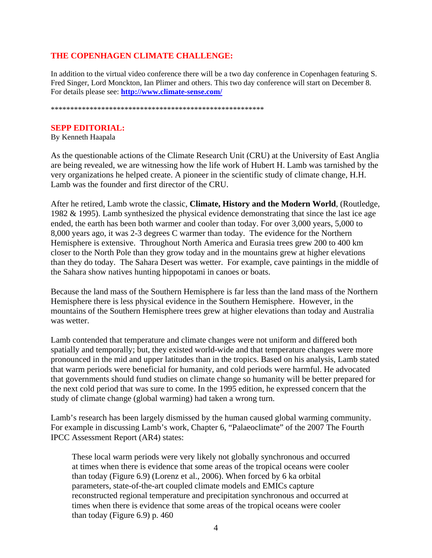#### **THE COPENHAGEN CLIMATE CHALLENGE:**

In addition to the virtual video conference there will be a two day conference in Copenhagen featuring S. Fred Singer, Lord Monckton, Ian Plimer and others. This two day conference will start on December 8. For details please see: **http://www.climate-sense.com/**

\*\*\*\*\*\*\*\*\*\*\*\*\*\*\*\*\*\*\*\*\*\*\*\*\*\*\*\*\*\*\*\*\*\*\*\*\*\*\*\*\*\*\*\*\*\*\*\*\*\*\*\*\*\*\*

#### **SEPP EDITORIAL:**

By Kenneth Haapala

As the questionable actions of the Climate Research Unit (CRU) at the University of East Anglia are being revealed, we are witnessing how the life work of Hubert H. Lamb was tarnished by the very organizations he helped create. A pioneer in the scientific study of climate change, H.H. Lamb was the founder and first director of the CRU.

After he retired, Lamb wrote the classic, **Climate, History and the Modern World**, (Routledge, 1982 & 1995). Lamb synthesized the physical evidence demonstrating that since the last ice age ended, the earth has been both warmer and cooler than today. For over 3,000 years, 5,000 to 8,000 years ago, it was 2-3 degrees C warmer than today. The evidence for the Northern Hemisphere is extensive. Throughout North America and Eurasia trees grew 200 to 400 km closer to the North Pole than they grow today and in the mountains grew at higher elevations than they do today. The Sahara Desert was wetter. For example, cave paintings in the middle of the Sahara show natives hunting hippopotami in canoes or boats.

Because the land mass of the Southern Hemisphere is far less than the land mass of the Northern Hemisphere there is less physical evidence in the Southern Hemisphere. However, in the mountains of the Southern Hemisphere trees grew at higher elevations than today and Australia was wetter.

Lamb contended that temperature and climate changes were not uniform and differed both spatially and temporally; but, they existed world-wide and that temperature changes were more pronounced in the mid and upper latitudes than in the tropics. Based on his analysis, Lamb stated that warm periods were beneficial for humanity, and cold periods were harmful. He advocated that governments should fund studies on climate change so humanity will be better prepared for the next cold period that was sure to come. In the 1995 edition, he expressed concern that the study of climate change (global warming) had taken a wrong turn.

Lamb's research has been largely dismissed by the human caused global warming community. For example in discussing Lamb's work, Chapter 6, "Palaeoclimate" of the 2007 The Fourth IPCC Assessment Report (AR4) states:

These local warm periods were very likely not globally synchronous and occurred at times when there is evidence that some areas of the tropical oceans were cooler than today (Figure 6.9) (Lorenz et al., 2006). When forced by 6 ka orbital parameters, state-of-the-art coupled climate models and EMICs capture reconstructed regional temperature and precipitation synchronous and occurred at times when there is evidence that some areas of the tropical oceans were cooler than today (Figure 6.9) p. 460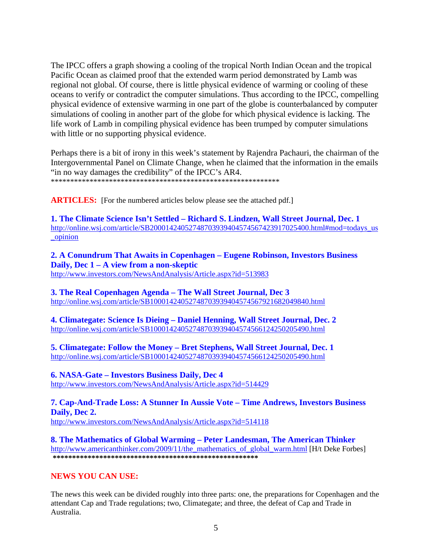The IPCC offers a graph showing a cooling of the tropical North Indian Ocean and the tropical Pacific Ocean as claimed proof that the extended warm period demonstrated by Lamb was regional not global. Of course, there is little physical evidence of warming or cooling of these oceans to verify or contradict the computer simulations. Thus according to the IPCC, compelling physical evidence of extensive warming in one part of the globe is counterbalanced by computer simulations of cooling in another part of the globe for which physical evidence is lacking. The life work of Lamb in compiling physical evidence has been trumped by computer simulations with little or no supporting physical evidence.

Perhaps there is a bit of irony in this week's statement by Rajendra Pachauri, the chairman of the Intergovernmental Panel on Climate Change, when he claimed that the information in the emails "in no way damages the credibility" of the IPCC's AR4. \*\*\*\*\*\*\*\*\*\*\*\*\*\*\*\*\*\*\*\*\*\*\*\*\*\*\*\*\*\*\*\*\*\*\*\*\*\*\*\*\*\*\*\*\*\*\*\*\*\*\*\*\*\*\*\*\*\*\*

**ARTICLES:** [For the numbered articles below please see the attached pdf.]

**1. The Climate Science Isn't Settled – Richard S. Lindzen, Wall Street Journal, Dec. 1**  http://online.wsj.com/article/SB20001424052748703939404574567423917025400.html#mod=todays\_us \_opinion

**2. A Conundrum That Awaits in Copenhagen – Eugene Robinson, Investors Business Daily, Dec 1 – A view from a non-skeptic**  http://www.investors.com/NewsAndAnalysis/Article.aspx?id=513983

**3. The Real Copenhagen Agenda – The Wall Street Journal, Dec 3**  http://online.wsj.com/article/SB10001424052748703939404574567921682049840.html

**4. Climategate: Science Is Dieing – Daniel Henning, Wall Street Journal, Dec. 2**  http://online.wsj.com/article/SB10001424052748703939404574566124250205490.html

**5. Climategate: Follow the Money – Bret Stephens, Wall Street Journal, Dec. 1**  http://online.wsj.com/article/SB10001424052748703939404574566124250205490.html

**6. NASA-Gate – Investors Business Daily, Dec 4** 

http://www.investors.com/NewsAndAnalysis/Article.aspx?id=514429

#### **7. Cap-And-Trade Loss: A Stunner In Aussie Vote – Time Andrews, Investors Business Daily, Dec 2.**

http://www.investors.com/NewsAndAnalysis/Article.aspx?id=514118

**8. The Mathematics of Global Warming – Peter Landesman, The American Thinker**  http://www.americanthinker.com/2009/11/the\_mathematics\_of\_global\_warm.html [H/t Deke Forbes]  **\*\*\*\*\*\*\*\*\*\*\*\*\*\*\*\*\*\*\*\*\*\*\*\*\*\*\*\*\*\*\*\*\*\*\*\*\*\*\*\*\*\*\*\*\*\*\*\*\*\*\*\*\*** 

#### **NEWS YOU CAN USE:**

The news this week can be divided roughly into three parts: one, the preparations for Copenhagen and the attendant Cap and Trade regulations; two, Climategate; and three, the defeat of Cap and Trade in Australia.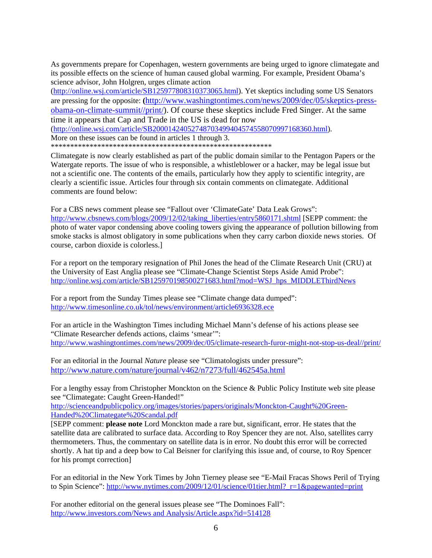As governments prepare for Copenhagen, western governments are being urged to ignore climategate and its possible effects on the science of human caused global warming. For example, President Obama's science advisor, John Holgren, urges climate action

(http://online.wsj.com/article/SB125977808310373065.html). Yet skeptics including some US Senators are pressing for the opposite: **(**http://www.washingtontimes.com/news/2009/dec/05/skeptics-pressobama-on-climate-summit//print/). Of course these skeptics include Fred Singer. At the same time it appears that Cap and Trade in the US is dead for now (http://online.wsj.com/article/SB20001424052748703499404574558070997168360.html). More on these issues can be found in articles 1 through 3. \*\*\*\*\*\*\*\*\*\*\*\*\*\*\*\*\*\*\*\*\*\*\*\*\*\*\*\*\*\*\*\*\*\*\*\*\*\*\*\*\*\*\*\*\*\*\*\*\*\*\*\*\*\*\*\*\*

Climategate is now clearly established as part of the public domain similar to the Pentagon Papers or the Watergate reports. The issue of who is responsible, a whistleblower or a hacker, may be legal issue but not a scientific one. The contents of the emails, particularly how they apply to scientific integrity, are clearly a scientific issue. Articles four through six contain comments on climategate. Additional comments are found below:

For a CBS news comment please see "Fallout over 'ClimateGate' Data Leak Grows": http://www.cbsnews.com/blogs/2009/12/02/taking\_liberties/entry5860171.shtml [SEPP comment: the photo of water vapor condensing above cooling towers giving the appearance of pollution billowing from smoke stacks is almost obligatory in some publications when they carry carbon dioxide news stories. Of course, carbon dioxide is colorless.]

For a report on the temporary resignation of Phil Jones the head of the Climate Research Unit (CRU) at the University of East Anglia please see "Climate-Change Scientist Steps Aside Amid Probe": http://online.wsj.com/article/SB125970198500271683.html?mod=WSJ\_hps\_MIDDLEThirdNews

For a report from the Sunday Times please see "Climate change data dumped": http://www.timesonline.co.uk/tol/news/environment/article6936328.ece

For an article in the Washington Times including Michael Mann's defense of his actions please see "Climate Researcher defends actions, claims 'smear'": http://www.washingtontimes.com/news/2009/dec/05/climate-research-furor-might-not-stop-us-deal//print/

For an editorial in the Journal *Nature* please see "Climatologists under pressure": http://www.nature.com/nature/journal/v462/n7273/full/462545a.html

For a lengthy essay from Christopher Monckton on the Science & Public Policy Institute web site please see "Climategate: Caught Green-Handed!"

http://scienceandpublicpolicy.org/images/stories/papers/originals/Monckton-Caught%20Green-Handed%20Climategate%20Scandal.pdf

[SEPP comment: **please note** Lord Monckton made a rare but, significant, error. He states that the satellite data are calibrated to surface data. According to Roy Spencer they are not. Also, satellites carry thermometers. Thus, the commentary on satellite data is in error. No doubt this error will be corrected shortly. A hat tip and a deep bow to Cal Beisner for clarifying this issue and, of course, to Roy Spencer for his prompt correction]

For an editorial in the New York Times by John Tierney please see "E-Mail Fracas Shows Peril of Trying to Spin Science": http://www.nytimes.com/2009/12/01/science/01tier.html? r=1&pagewanted=print

For another editorial on the general issues please see "The Dominoes Fall": http://www.investors.com/News and Analysis/Article.aspx?id=514128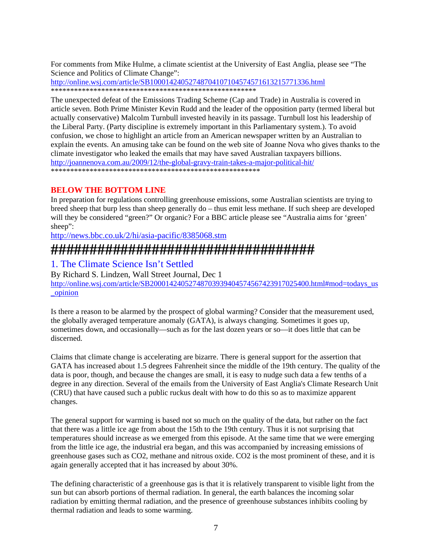For comments from Mike Hulme, a climate scientist at the University of East Anglia, please see "The Science and Politics of Climate Change":

http://online.wsj.com/article/SB10001424052748704107104574571613215771336.html \*\*\*\*\*\*\*\*\*\*\*\*\*\*\*\*\*\*\*\*\*\*\*\*\*\*\*\*\*\*\*\*\*\*\*\*\*\*\*\*\*\*\*\*\*\*\*\*\*\*\*\*\*

The unexpected defeat of the Emissions Trading Scheme (Cap and Trade) in Australia is covered in article seven. Both Prime Minister Kevin Rudd and the leader of the opposition party (termed liberal but actually conservative) Malcolm Turnbull invested heavily in its passage. Turnbull lost his leadership of the Liberal Party. (Party discipline is extremely important in this Parliamentary system.). To avoid confusion, we chose to highlight an article from an American newspaper written by an Australian to explain the events. An amusing take can be found on the web site of Joanne Nova who gives thanks to the climate investigator who leaked the emails that may have saved Australian taxpayers billions. http://joannenova.com.au/2009/12/the-global-gravy-train-takes-a-major-political-hit/ \*\*\*\*\*\*\*\*\*\*\*\*\*\*\*\*\*\*\*\*\*\*\*\*\*\*\*\*\*\*\*\*\*\*\*\*\*\*\*\*\*\*\*\*\*\*\*\*\*\*\*\*\*\*

## **BELOW THE BOTTOM LINE**

In preparation for regulations controlling greenhouse emissions, some Australian scientists are trying to breed sheep that burp less than sheep generally do – thus emit less methane. If such sheep are developed will they be considered "green?" Or organic? For a BBC article please see "Australia aims for 'green' sheep":

# http://news.bbc.co.uk/2/hi/asia-pacific/8385068.stm

# **##################################**

## 1. The Climate Science Isn't Settled

By Richard S. Lindzen, Wall Street Journal, Dec 1 http://online.wsj.com/article/SB20001424052748703939404574567423917025400.html#mod=todays\_us \_opinion

Is there a reason to be alarmed by the prospect of global warming? Consider that the measurement used, the globally averaged temperature anomaly (GATA), is always changing. Sometimes it goes up, sometimes down, and occasionally—such as for the last dozen years or so—it does little that can be discerned.

Claims that climate change is accelerating are bizarre. There is general support for the assertion that GATA has increased about 1.5 degrees Fahrenheit since the middle of the 19th century. The quality of the data is poor, though, and because the changes are small, it is easy to nudge such data a few tenths of a degree in any direction. Several of the emails from the University of East Anglia's Climate Research Unit (CRU) that have caused such a public ruckus dealt with how to do this so as to maximize apparent changes.

The general support for warming is based not so much on the quality of the data, but rather on the fact that there was a little ice age from about the 15th to the 19th century. Thus it is not surprising that temperatures should increase as we emerged from this episode. At the same time that we were emerging from the little ice age, the industrial era began, and this was accompanied by increasing emissions of greenhouse gases such as CO2, methane and nitrous oxide. CO2 is the most prominent of these, and it is again generally accepted that it has increased by about 30%.

The defining characteristic of a greenhouse gas is that it is relatively transparent to visible light from the sun but can absorb portions of thermal radiation. In general, the earth balances the incoming solar radiation by emitting thermal radiation, and the presence of greenhouse substances inhibits cooling by thermal radiation and leads to some warming.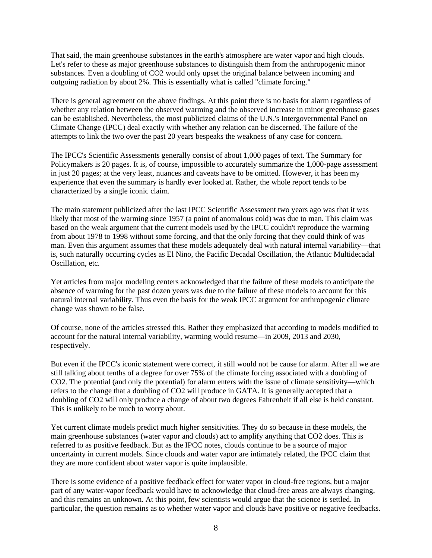That said, the main greenhouse substances in the earth's atmosphere are water vapor and high clouds. Let's refer to these as major greenhouse substances to distinguish them from the anthropogenic minor substances. Even a doubling of CO2 would only upset the original balance between incoming and outgoing radiation by about 2%. This is essentially what is called "climate forcing."

There is general agreement on the above findings. At this point there is no basis for alarm regardless of whether any relation between the observed warming and the observed increase in minor greenhouse gases can be established. Nevertheless, the most publicized claims of the U.N.'s Intergovernmental Panel on Climate Change (IPCC) deal exactly with whether any relation can be discerned. The failure of the attempts to link the two over the past 20 years bespeaks the weakness of any case for concern.

The IPCC's Scientific Assessments generally consist of about 1,000 pages of text. The Summary for Policymakers is 20 pages. It is, of course, impossible to accurately summarize the 1,000-page assessment in just 20 pages; at the very least, nuances and caveats have to be omitted. However, it has been my experience that even the summary is hardly ever looked at. Rather, the whole report tends to be characterized by a single iconic claim.

The main statement publicized after the last IPCC Scientific Assessment two years ago was that it was likely that most of the warming since 1957 (a point of anomalous cold) was due to man. This claim was based on the weak argument that the current models used by the IPCC couldn't reproduce the warming from about 1978 to 1998 without some forcing, and that the only forcing that they could think of was man. Even this argument assumes that these models adequately deal with natural internal variability—that is, such naturally occurring cycles as El Nino, the Pacific Decadal Oscillation, the Atlantic Multidecadal Oscillation, etc.

Yet articles from major modeling centers acknowledged that the failure of these models to anticipate the absence of warming for the past dozen years was due to the failure of these models to account for this natural internal variability. Thus even the basis for the weak IPCC argument for anthropogenic climate change was shown to be false.

Of course, none of the articles stressed this. Rather they emphasized that according to models modified to account for the natural internal variability, warming would resume—in 2009, 2013 and 2030, respectively.

But even if the IPCC's iconic statement were correct, it still would not be cause for alarm. After all we are still talking about tenths of a degree for over 75% of the climate forcing associated with a doubling of CO2. The potential (and only the potential) for alarm enters with the issue of climate sensitivity—which refers to the change that a doubling of CO2 will produce in GATA. It is generally accepted that a doubling of CO2 will only produce a change of about two degrees Fahrenheit if all else is held constant. This is unlikely to be much to worry about.

Yet current climate models predict much higher sensitivities. They do so because in these models, the main greenhouse substances (water vapor and clouds) act to amplify anything that CO2 does. This is referred to as positive feedback. But as the IPCC notes, clouds continue to be a source of major uncertainty in current models. Since clouds and water vapor are intimately related, the IPCC claim that they are more confident about water vapor is quite implausible.

There is some evidence of a positive feedback effect for water vapor in cloud-free regions, but a major part of any water-vapor feedback would have to acknowledge that cloud-free areas are always changing, and this remains an unknown. At this point, few scientists would argue that the science is settled. In particular, the question remains as to whether water vapor and clouds have positive or negative feedbacks.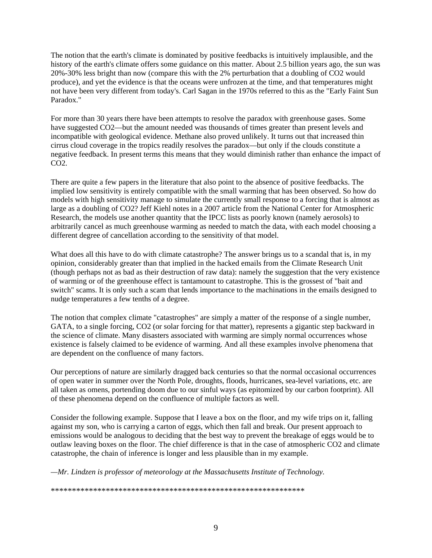The notion that the earth's climate is dominated by positive feedbacks is intuitively implausible, and the history of the earth's climate offers some guidance on this matter. About 2.5 billion years ago, the sun was 20%-30% less bright than now (compare this with the 2% perturbation that a doubling of CO2 would produce), and yet the evidence is that the oceans were unfrozen at the time, and that temperatures might not have been very different from today's. Carl Sagan in the 1970s referred to this as the "Early Faint Sun Paradox."

For more than 30 years there have been attempts to resolve the paradox with greenhouse gases. Some have suggested CO2—but the amount needed was thousands of times greater than present levels and incompatible with geological evidence. Methane also proved unlikely. It turns out that increased thin cirrus cloud coverage in the tropics readily resolves the paradox—but only if the clouds constitute a negative feedback. In present terms this means that they would diminish rather than enhance the impact of CO2.

There are quite a few papers in the literature that also point to the absence of positive feedbacks. The implied low sensitivity is entirely compatible with the small warming that has been observed. So how do models with high sensitivity manage to simulate the currently small response to a forcing that is almost as large as a doubling of CO2? Jeff Kiehl notes in a 2007 article from the National Center for Atmospheric Research, the models use another quantity that the IPCC lists as poorly known (namely aerosols) to arbitrarily cancel as much greenhouse warming as needed to match the data, with each model choosing a different degree of cancellation according to the sensitivity of that model.

What does all this have to do with climate catastrophe? The answer brings us to a scandal that is, in my opinion, considerably greater than that implied in the hacked emails from the Climate Research Unit (though perhaps not as bad as their destruction of raw data): namely the suggestion that the very existence of warming or of the greenhouse effect is tantamount to catastrophe. This is the grossest of "bait and switch" scams. It is only such a scam that lends importance to the machinations in the emails designed to nudge temperatures a few tenths of a degree.

The notion that complex climate "catastrophes" are simply a matter of the response of a single number, GATA, to a single forcing, CO2 (or solar forcing for that matter), represents a gigantic step backward in the science of climate. Many disasters associated with warming are simply normal occurrences whose existence is falsely claimed to be evidence of warming. And all these examples involve phenomena that are dependent on the confluence of many factors.

Our perceptions of nature are similarly dragged back centuries so that the normal occasional occurrences of open water in summer over the North Pole, droughts, floods, hurricanes, sea-level variations, etc. are all taken as omens, portending doom due to our sinful ways (as epitomized by our carbon footprint). All of these phenomena depend on the confluence of multiple factors as well.

Consider the following example. Suppose that I leave a box on the floor, and my wife trips on it, falling against my son, who is carrying a carton of eggs, which then fall and break. Our present approach to emissions would be analogous to deciding that the best way to prevent the breakage of eggs would be to outlaw leaving boxes on the floor. The chief difference is that in the case of atmospheric CO2 and climate catastrophe, the chain of inference is longer and less plausible than in my example.

*—Mr. Lindzen is professor of meteorology at the Massachusetts Institute of Technology.*

\*\*\*\*\*\*\*\*\*\*\*\*\*\*\*\*\*\*\*\*\*\*\*\*\*\*\*\*\*\*\*\*\*\*\*\*\*\*\*\*\*\*\*\*\*\*\*\*\*\*\*\*\*\*\*\*\*\*\*\*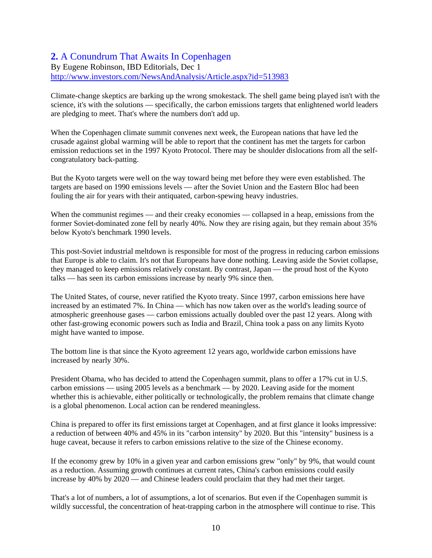## **2.** A Conundrum That Awaits In Copenhagen

By Eugene Robinson, IBD Editorials, Dec 1 http://www.investors.com/NewsAndAnalysis/Article.aspx?id=513983

Climate-change skeptics are barking up the wrong smokestack. The shell game being played isn't with the science, it's with the solutions — specifically, the carbon emissions targets that enlightened world leaders are pledging to meet. That's where the numbers don't add up.

When the Copenhagen climate summit convenes next week, the European nations that have led the crusade against global warming will be able to report that the continent has met the targets for carbon emission reductions set in the 1997 Kyoto Protocol. There may be shoulder dislocations from all the selfcongratulatory back-patting.

But the Kyoto targets were well on the way toward being met before they were even established. The targets are based on 1990 emissions levels — after the Soviet Union and the Eastern Bloc had been fouling the air for years with their antiquated, carbon-spewing heavy industries.

When the communist regimes — and their creaky economies — collapsed in a heap, emissions from the former Soviet-dominated zone fell by nearly 40%. Now they are rising again, but they remain about 35% below Kyoto's benchmark 1990 levels.

This post-Soviet industrial meltdown is responsible for most of the progress in reducing carbon emissions that Europe is able to claim. It's not that Europeans have done nothing. Leaving aside the Soviet collapse, they managed to keep emissions relatively constant. By contrast, Japan — the proud host of the Kyoto talks — has seen its carbon emissions increase by nearly 9% since then.

The United States, of course, never ratified the Kyoto treaty. Since 1997, carbon emissions here have increased by an estimated 7%. In China — which has now taken over as the world's leading source of atmospheric greenhouse gases — carbon emissions actually doubled over the past 12 years. Along with other fast-growing economic powers such as India and Brazil, China took a pass on any limits Kyoto might have wanted to impose.

The bottom line is that since the Kyoto agreement 12 years ago, worldwide carbon emissions have increased by nearly 30%.

President Obama, who has decided to attend the Copenhagen summit, plans to offer a 17% cut in U.S. carbon emissions — using 2005 levels as a benchmark — by 2020. Leaving aside for the moment whether this is achievable, either politically or technologically, the problem remains that climate change is a global phenomenon. Local action can be rendered meaningless.

China is prepared to offer its first emissions target at Copenhagen, and at first glance it looks impressive: a reduction of between 40% and 45% in its "carbon intensity" by 2020. But this "intensity" business is a huge caveat, because it refers to carbon emissions relative to the size of the Chinese economy.

If the economy grew by 10% in a given year and carbon emissions grew "only" by 9%, that would count as a reduction. Assuming growth continues at current rates, China's carbon emissions could easily increase by 40% by 2020 — and Chinese leaders could proclaim that they had met their target.

That's a lot of numbers, a lot of assumptions, a lot of scenarios. But even if the Copenhagen summit is wildly successful, the concentration of heat-trapping carbon in the atmosphere will continue to rise. This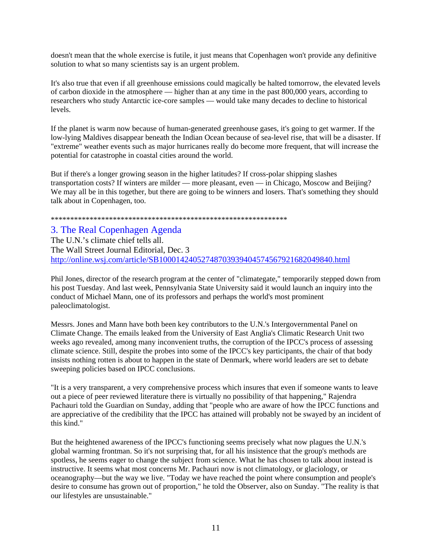doesn't mean that the whole exercise is futile, it just means that Copenhagen won't provide any definitive solution to what so many scientists say is an urgent problem.

It's also true that even if all greenhouse emissions could magically be halted tomorrow, the elevated levels of carbon dioxide in the atmosphere — higher than at any time in the past 800,000 years, according to researchers who study Antarctic ice-core samples — would take many decades to decline to historical levels.

If the planet is warm now because of human-generated greenhouse gases, it's going to get warmer. If the low-lying Maldives disappear beneath the Indian Ocean because of sea-level rise, that will be a disaster. If "extreme" weather events such as major hurricanes really do become more frequent, that will increase the potential for catastrophe in coastal cities around the world.

But if there's a longer growing season in the higher latitudes? If cross-polar shipping slashes transportation costs? If winters are milder — more pleasant, even — in Chicago, Moscow and Beijing? We may all be in this together, but there are going to be winners and losers. That's something they should talk about in Copenhagen, too.

#### \*\*\*\*\*\*\*\*\*\*\*\*\*\*\*\*\*\*\*\*\*\*\*\*\*\*\*\*\*\*\*\*\*\*\*\*\*\*\*\*\*\*\*\*\*\*\*\*\*\*\*\*\*\*\*\*\*\*\*\*\*

#### 3. The Real Copenhagen Agenda

The U.N.'s climate chief tells all. The Wall Street Journal Editorial, Dec. 3 http://online.wsj.com/article/SB10001424052748703939404574567921682049840.html

Phil Jones, director of the research program at the center of "climategate," temporarily stepped down from his post Tuesday. And last week, Pennsylvania State University said it would launch an inquiry into the conduct of Michael Mann, one of its professors and perhaps the world's most prominent paleoclimatologist.

Messrs. Jones and Mann have both been key contributors to the U.N.'s Intergovernmental Panel on Climate Change. The emails leaked from the University of East Anglia's Climatic Research Unit two weeks ago revealed, among many inconvenient truths, the corruption of the IPCC's process of assessing climate science. Still, despite the probes into some of the IPCC's key participants, the chair of that body insists nothing rotten is about to happen in the state of Denmark, where world leaders are set to debate sweeping policies based on IPCC conclusions.

"It is a very transparent, a very comprehensive process which insures that even if someone wants to leave out a piece of peer reviewed literature there is virtually no possibility of that happening," Rajendra Pachauri told the Guardian on Sunday, adding that "people who are aware of how the IPCC functions and are appreciative of the credibility that the IPCC has attained will probably not be swayed by an incident of this kind."

But the heightened awareness of the IPCC's functioning seems precisely what now plagues the U.N.'s global warming frontman. So it's not surprising that, for all his insistence that the group's methods are spotless, he seems eager to change the subject from science. What he has chosen to talk about instead is instructive. It seems what most concerns Mr. Pachauri now is not climatology, or glaciology, or oceanography—but the way we live. "Today we have reached the point where consumption and people's desire to consume has grown out of proportion," he told the Observer, also on Sunday. "The reality is that our lifestyles are unsustainable."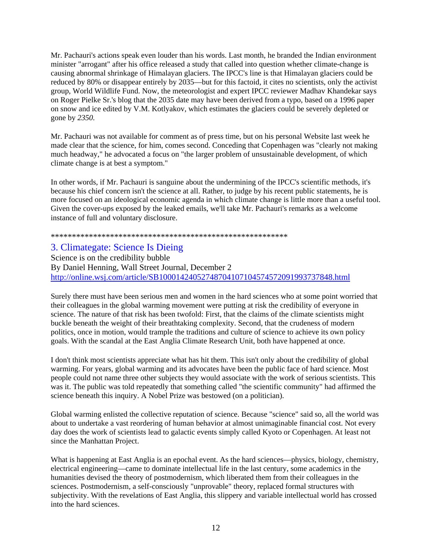Mr. Pachauri's actions speak even louder than his words. Last month, he branded the Indian environment minister "arrogant" after his office released a study that called into question whether climate-change is causing abnormal shrinkage of Himalayan glaciers. The IPCC's line is that Himalayan glaciers could be reduced by 80% or disappear entirely by 2035—but for this factoid, it cites no scientists, only the activist group, World Wildlife Fund. Now, the meteorologist and expert IPCC reviewer Madhav Khandekar says on Roger Pielke Sr.'s blog that the 2035 date may have been derived from a typo, based on a 1996 paper on snow and ice edited by V.M. Kotlyakov, which estimates the glaciers could be severely depleted or gone by *2350.*

Mr. Pachauri was not available for comment as of press time, but on his personal Website last week he made clear that the science, for him, comes second. Conceding that Copenhagen was "clearly not making much headway," he advocated a focus on "the larger problem of unsustainable development, of which climate change is at best a symptom."

In other words, if Mr. Pachauri is sanguine about the undermining of the IPCC's scientific methods, it's because his chief concern isn't the science at all. Rather, to judge by his recent public statements, he is more focused on an ideological economic agenda in which climate change is little more than a useful tool. Given the cover-ups exposed by the leaked emails, we'll take Mr. Pachauri's remarks as a welcome instance of full and voluntary disclosure.

#### \*\*\*\*\*\*\*\*\*\*\*\*\*\*\*\*\*\*\*\*\*\*\*\*\*\*\*\*\*\*\*\*\*\*\*\*\*\*\*\*\*\*\*\*\*\*\*\*\*\*\*\*\*\*\*\*

## 3. Climategate: Science Is Dieing

Science is on the credibility bubble By Daniel Henning, Wall Street Journal, December 2 http://online.wsj.com/article/SB10001424052748704107104574572091993737848.html

Surely there must have been serious men and women in the hard sciences who at some point worried that their colleagues in the global warming movement were putting at risk the credibility of everyone in science. The nature of that risk has been twofold: First, that the claims of the climate scientists might buckle beneath the weight of their breathtaking complexity. Second, that the crudeness of modern politics, once in motion, would trample the traditions and culture of science to achieve its own policy goals. With the scandal at the East Anglia Climate Research Unit, both have happened at once.

I don't think most scientists appreciate what has hit them. This isn't only about the credibility of global warming. For years, global warming and its advocates have been the public face of hard science. Most people could not name three other subjects they would associate with the work of serious scientists. This was it. The public was told repeatedly that something called "the scientific community" had affirmed the science beneath this inquiry. A Nobel Prize was bestowed (on a politician).

Global warming enlisted the collective reputation of science. Because "science" said so, all the world was about to undertake a vast reordering of human behavior at almost unimaginable financial cost. Not every day does the work of scientists lead to galactic events simply called Kyoto or Copenhagen. At least not since the Manhattan Project.

What is happening at East Anglia is an epochal event. As the hard sciences—physics, biology, chemistry, electrical engineering—came to dominate intellectual life in the last century, some academics in the humanities devised the theory of postmodernism, which liberated them from their colleagues in the sciences. Postmodernism, a self-consciously "unprovable" theory, replaced formal structures with subjectivity. With the revelations of East Anglia, this slippery and variable intellectual world has crossed into the hard sciences.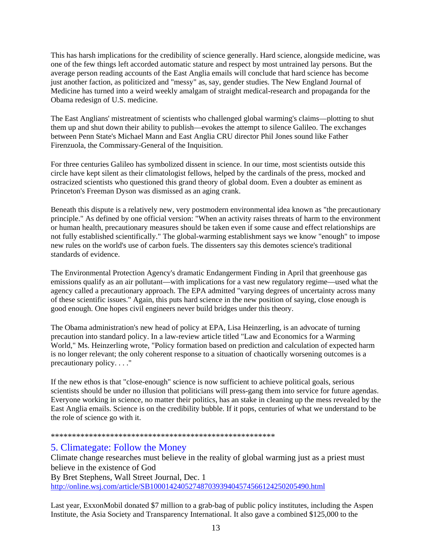This has harsh implications for the credibility of science generally. Hard science, alongside medicine, was one of the few things left accorded automatic stature and respect by most untrained lay persons. But the average person reading accounts of the East Anglia emails will conclude that hard science has become just another faction, as politicized and "messy" as, say, gender studies. The New England Journal of Medicine has turned into a weird weekly amalgam of straight medical-research and propaganda for the Obama redesign of U.S. medicine.

The East Anglians' mistreatment of scientists who challenged global warming's claims—plotting to shut them up and shut down their ability to publish—evokes the attempt to silence Galileo. The exchanges between Penn State's Michael Mann and East Anglia CRU director Phil Jones sound like Father Firenzuola, the Commissary-General of the Inquisition.

For three centuries Galileo has symbolized dissent in science. In our time, most scientists outside this circle have kept silent as their climatologist fellows, helped by the cardinals of the press, mocked and ostracized scientists who questioned this grand theory of global doom. Even a doubter as eminent as Princeton's Freeman Dyson was dismissed as an aging crank.

Beneath this dispute is a relatively new, very postmodern environmental idea known as "the precautionary principle." As defined by one official version: "When an activity raises threats of harm to the environment or human health, precautionary measures should be taken even if some cause and effect relationships are not fully established scientifically." The global-warming establishment says we know "enough" to impose new rules on the world's use of carbon fuels. The dissenters say this demotes science's traditional standards of evidence.

The Environmental Protection Agency's dramatic Endangerment Finding in April that greenhouse gas emissions qualify as an air pollutant—with implications for a vast new regulatory regime—used what the agency called a precautionary approach. The EPA admitted "varying degrees of uncertainty across many of these scientific issues." Again, this puts hard science in the new position of saying, close enough is good enough. One hopes civil engineers never build bridges under this theory.

The Obama administration's new head of policy at EPA, Lisa Heinzerling, is an advocate of turning precaution into standard policy. In a law-review article titled "Law and Economics for a Warming World," Ms. Heinzerling wrote, "Policy formation based on prediction and calculation of expected harm is no longer relevant; the only coherent response to a situation of chaotically worsening outcomes is a precautionary policy. . . ."

If the new ethos is that "close-enough" science is now sufficient to achieve political goals, serious scientists should be under no illusion that politicians will press-gang them into service for future agendas. Everyone working in science, no matter their politics, has an stake in cleaning up the mess revealed by the East Anglia emails. Science is on the credibility bubble. If it pops, centuries of what we understand to be the role of science go with it.

#### \*\*\*\*\*\*\*\*\*\*\*\*\*\*\*\*\*\*\*\*\*\*\*\*\*\*\*\*\*\*\*\*\*\*\*\*\*\*\*\*\*\*\*\*\*\*\*\*\*\*\*\*\*

## 5. Climategate: Follow the Money

Climate change researches must believe in the reality of global warming just as a priest must believe in the existence of God By Bret Stephens, Wall Street Journal, Dec. 1

http://online.wsj.com/article/SB10001424052748703939404574566124250205490.html

Last year, ExxonMobil donated \$7 million to a grab-bag of public policy institutes, including the Aspen Institute, the Asia Society and Transparency International. It also gave a combined \$125,000 to the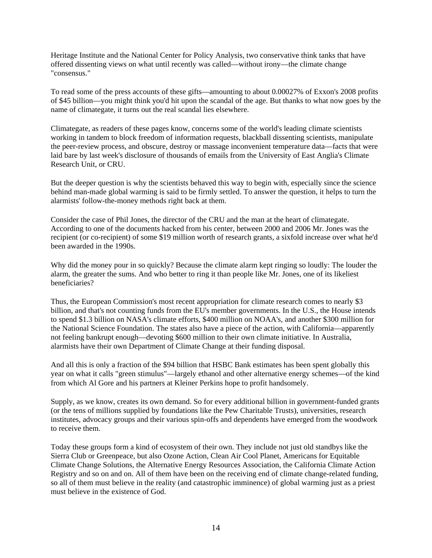Heritage Institute and the National Center for Policy Analysis, two conservative think tanks that have offered dissenting views on what until recently was called—without irony—the climate change "consensus."

To read some of the press accounts of these gifts—amounting to about 0.00027% of Exxon's 2008 profits of \$45 billion—you might think you'd hit upon the scandal of the age. But thanks to what now goes by the name of climategate, it turns out the real scandal lies elsewhere.

Climategate, as readers of these pages know, concerns some of the world's leading climate scientists working in tandem to block freedom of information requests, blackball dissenting scientists, manipulate the peer-review process, and obscure, destroy or massage inconvenient temperature data—facts that were laid bare by last week's disclosure of thousands of emails from the University of East Anglia's Climate Research Unit, or CRU.

But the deeper question is why the scientists behaved this way to begin with, especially since the science behind man-made global warming is said to be firmly settled. To answer the question, it helps to turn the alarmists' follow-the-money methods right back at them.

Consider the case of Phil Jones, the director of the CRU and the man at the heart of climategate. According to one of the documents hacked from his center, between 2000 and 2006 Mr. Jones was the recipient (or co-recipient) of some \$19 million worth of research grants, a sixfold increase over what he'd been awarded in the 1990s.

Why did the money pour in so quickly? Because the climate alarm kept ringing so loudly: The louder the alarm, the greater the sums. And who better to ring it than people like Mr. Jones, one of its likeliest beneficiaries?

Thus, the European Commission's most recent appropriation for climate research comes to nearly \$3 billion, and that's not counting funds from the EU's member governments. In the U.S., the House intends to spend \$1.3 billion on NASA's climate efforts, \$400 million on NOAA's, and another \$300 million for the National Science Foundation. The states also have a piece of the action, with California—apparently not feeling bankrupt enough—devoting \$600 million to their own climate initiative. In Australia, alarmists have their own Department of Climate Change at their funding disposal.

And all this is only a fraction of the \$94 billion that HSBC Bank estimates has been spent globally this year on what it calls "green stimulus"—largely ethanol and other alternative energy schemes—of the kind from which Al Gore and his partners at Kleiner Perkins hope to profit handsomely.

Supply, as we know, creates its own demand. So for every additional billion in government-funded grants (or the tens of millions supplied by foundations like the Pew Charitable Trusts), universities, research institutes, advocacy groups and their various spin-offs and dependents have emerged from the woodwork to receive them.

Today these groups form a kind of ecosystem of their own. They include not just old standbys like the Sierra Club or Greenpeace, but also Ozone Action, Clean Air Cool Planet, Americans for Equitable Climate Change Solutions, the Alternative Energy Resources Association, the California Climate Action Registry and so on and on. All of them have been on the receiving end of climate change-related funding, so all of them must believe in the reality (and catastrophic imminence) of global warming just as a priest must believe in the existence of God.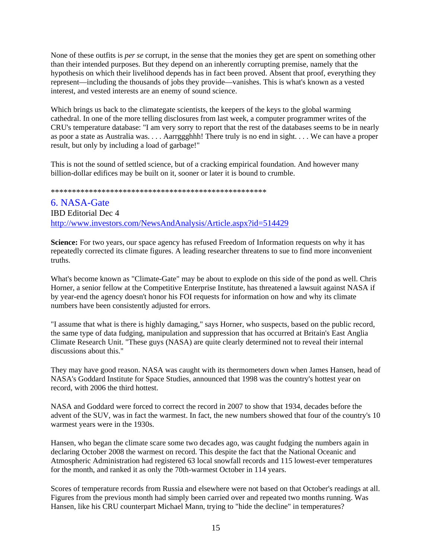None of these outfits is *per se* corrupt, in the sense that the monies they get are spent on something other than their intended purposes. But they depend on an inherently corrupting premise, namely that the hypothesis on which their livelihood depends has in fact been proved. Absent that proof, everything they represent—including the thousands of jobs they provide—vanishes. This is what's known as a vested interest, and vested interests are an enemy of sound science.

Which brings us back to the climategate scientists, the keepers of the keys to the global warming cathedral. In one of the more telling disclosures from last week, a computer programmer writes of the CRU's temperature database: "I am very sorry to report that the rest of the databases seems to be in nearly as poor a state as Australia was. . . . Aarrggghhh! There truly is no end in sight. . . . We can have a proper result, but only by including a load of garbage!"

This is not the sound of settled science, but of a cracking empirical foundation. And however many billion-dollar edifices may be built on it, sooner or later it is bound to crumble.

\*\*\*\*\*\*\*\*\*\*\*\*\*\*\*\*\*\*\*\*\*\*\*\*\*\*\*\*\*\*\*\*\*\*\*\*\*\*\*\*\*\*\*\*\*\*\*\*\*\*\* 6. NASA-Gate IBD Editorial Dec 4 http://www.investors.com/NewsAndAnalysis/Article.aspx?id=514429

**Science:** For two years, our space agency has refused Freedom of Information requests on why it has repeatedly corrected its climate figures. A leading researcher threatens to sue to find more inconvenient truths.

What's become known as "Climate-Gate" may be about to explode on this side of the pond as well. Chris Horner, a senior fellow at the Competitive Enterprise Institute, has threatened a lawsuit against NASA if by year-end the agency doesn't honor his FOI requests for information on how and why its climate numbers have been consistently adjusted for errors.

"I assume that what is there is highly damaging," says Horner, who suspects, based on the public record, the same type of data fudging, manipulation and suppression that has occurred at Britain's East Anglia Climate Research Unit. "These guys (NASA) are quite clearly determined not to reveal their internal discussions about this."

They may have good reason. NASA was caught with its thermometers down when James Hansen, head of NASA's Goddard Institute for Space Studies, announced that 1998 was the country's hottest year on record, with 2006 the third hottest.

NASA and Goddard were forced to correct the record in 2007 to show that 1934, decades before the advent of the SUV, was in fact the warmest. In fact, the new numbers showed that four of the country's 10 warmest years were in the 1930s.

Hansen, who began the climate scare some two decades ago, was caught fudging the numbers again in declaring October 2008 the warmest on record. This despite the fact that the National Oceanic and Atmospheric Administration had registered 63 local snowfall records and 115 lowest-ever temperatures for the month, and ranked it as only the 70th-warmest October in 114 years.

Scores of temperature records from Russia and elsewhere were not based on that October's readings at all. Figures from the previous month had simply been carried over and repeated two months running. Was Hansen, like his CRU counterpart Michael Mann, trying to "hide the decline" in temperatures?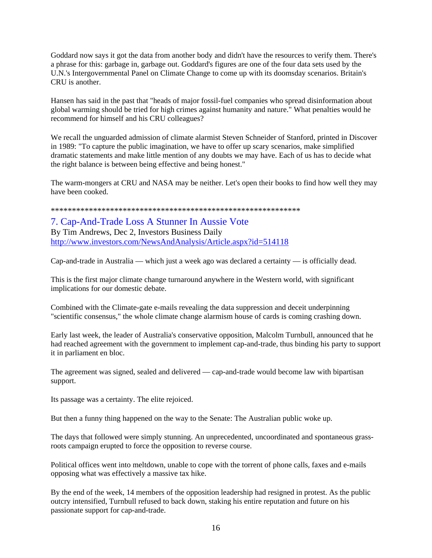Goddard now says it got the data from another body and didn't have the resources to verify them. There's a phrase for this: garbage in, garbage out. Goddard's figures are one of the four data sets used by the U.N.'s Intergovernmental Panel on Climate Change to come up with its doomsday scenarios. Britain's CRU is another.

Hansen has said in the past that "heads of major fossil-fuel companies who spread disinformation about global warming should be tried for high crimes against humanity and nature." What penalties would he recommend for himself and his CRU colleagues?

We recall the unguarded admission of climate alarmist Steven Schneider of Stanford, printed in Discover in 1989: "To capture the public imagination, we have to offer up scary scenarios, make simplified dramatic statements and make little mention of any doubts we may have. Each of us has to decide what the right balance is between being effective and being honest."

The warm-mongers at CRU and NASA may be neither. Let's open their books to find how well they may have been cooked.

\*\*\*\*\*\*\*\*\*\*\*\*\*\*\*\*\*\*\*\*\*\*\*\*\*\*\*\*\*\*\*\*\*\*\*\*\*\*\*\*\*\*\*\*\*\*\*\*\*\*\*\*\*\*\*\*\*\*\*

7. Cap-And-Trade Loss A Stunner In Aussie Vote By Tim Andrews, Dec 2, Investors Business Daily http://www.investors.com/NewsAndAnalysis/Article.aspx?id=514118

Cap-and-trade in Australia — which just a week ago was declared a certainty — is officially dead.

This is the first major climate change turnaround anywhere in the Western world, with significant implications for our domestic debate.

Combined with the Climate-gate e-mails revealing the data suppression and deceit underpinning "scientific consensus," the whole climate change alarmism house of cards is coming crashing down.

Early last week, the leader of Australia's conservative opposition, Malcolm Turnbull, announced that he had reached agreement with the government to implement cap-and-trade, thus binding his party to support it in parliament en bloc.

The agreement was signed, sealed and delivered — cap-and-trade would become law with bipartisan support.

Its passage was a certainty. The elite rejoiced.

But then a funny thing happened on the way to the Senate: The Australian public woke up.

The days that followed were simply stunning. An unprecedented, uncoordinated and spontaneous grassroots campaign erupted to force the opposition to reverse course.

Political offices went into meltdown, unable to cope with the torrent of phone calls, faxes and e-mails opposing what was effectively a massive tax hike.

By the end of the week, 14 members of the opposition leadership had resigned in protest. As the public outcry intensified, Turnbull refused to back down, staking his entire reputation and future on his passionate support for cap-and-trade.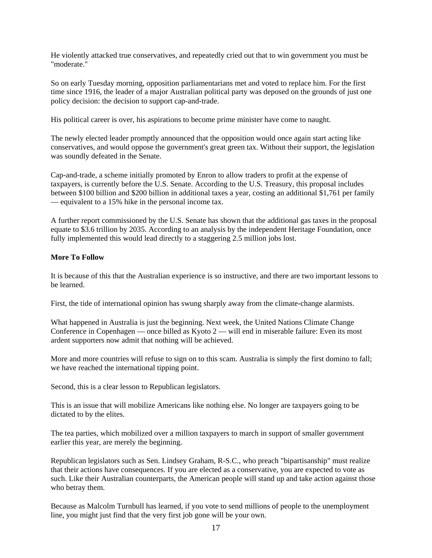He violently attacked true conservatives, and repeatedly cried out that to win government you must be "moderate."

So on early Tuesday morning, opposition parliamentarians met and voted to replace him. For the first time since 1916, the leader of a major Australian political party was deposed on the grounds of just one policy decision: the decision to support cap-and-trade.

His political career is over, his aspirations to become prime minister have come to naught.

The newly elected leader promptly announced that the opposition would once again start acting like conservatives, and would oppose the government's great green tax. Without their support, the legislation was soundly defeated in the Senate.

Cap-and-trade, a scheme initially promoted by Enron to allow traders to profit at the expense of taxpayers, is currently before the U.S. Senate. According to the U.S. Treasury, this proposal includes between \$100 billion and \$200 billion in additional taxes a year, costing an additional \$1,761 per family — equivalent to a 15% hike in the personal income tax.

A further report commissioned by the U.S. Senate has shown that the additional gas taxes in the proposal equate to \$3.6 trillion by 2035. According to an analysis by the independent Heritage Foundation, once fully implemented this would lead directly to a staggering 2.5 million jobs lost.

#### **More To Follow**

It is because of this that the Australian experience is so instructive, and there are two important lessons to be learned.

First, the tide of international opinion has swung sharply away from the climate-change alarmists.

What happened in Australia is just the beginning. Next week, the United Nations Climate Change Conference in Copenhagen — once billed as Kyoto 2 — will end in miserable failure: Even its most ardent supporters now admit that nothing will be achieved.

More and more countries will refuse to sign on to this scam. Australia is simply the first domino to fall; we have reached the international tipping point.

Second, this is a clear lesson to Republican legislators.

This is an issue that will mobilize Americans like nothing else. No longer are taxpayers going to be dictated to by the elites.

The tea parties, which mobilized over a million taxpayers to march in support of smaller government earlier this year, are merely the beginning.

Republican legislators such as Sen. Lindsey Graham, R-S.C., who preach "bipartisanship" must realize that their actions have consequences. If you are elected as a conservative, you are expected to vote as such. Like their Australian counterparts, the American people will stand up and take action against those who betray them.

Because as Malcolm Turnbull has learned, if you vote to send millions of people to the unemployment line, you might just find that the very first job gone will be your own.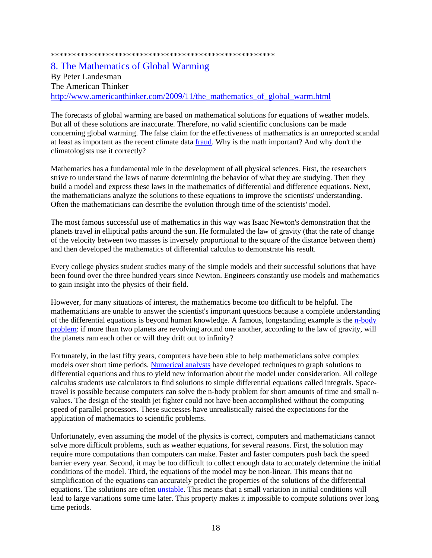#### \*\*\*\*\*\*\*\*\*\*\*\*\*\*\*\*\*\*\*\*\*\*\*\*\*\*\*\*\*\*\*\*\*\*\*\*\*\*\*\*\*\*\*\*\*\*\*\*\*\*\*\*\*

#### 8. The Mathematics of Global Warming

By Peter Landesman The American Thinker http://www.americanthinker.com/2009/11/the\_mathematics\_of\_global\_warm.html

The forecasts of global warming are based on mathematical solutions for equations of weather models. But all of these solutions are inaccurate. Therefore, no valid scientific conclusions can be made concerning global warming. The false claim for the effectiveness of mathematics is an unreported scandal at least as important as the recent climate data fraud. Why is the math important? And why don't the climatologists use it correctly?

Mathematics has a fundamental role in the development of all physical sciences. First, the researchers strive to understand the laws of nature determining the behavior of what they are studying. Then they build a model and express these laws in the mathematics of differential and difference equations. Next, the mathematicians analyze the solutions to these equations to improve the scientists' understanding. Often the mathematicians can describe the evolution through time of the scientists' model.

The most famous successful use of mathematics in this way was Isaac Newton's demonstration that the planets travel in elliptical paths around the sun. He formulated the law of gravity (that the rate of change of the velocity between two masses is inversely proportional to the square of the distance between them) and then developed the mathematics of differential calculus to demonstrate his result.

Every college physics student studies many of the simple models and their successful solutions that have been found over the three hundred years since Newton. Engineers constantly use models and mathematics to gain insight into the physics of their field.

However, for many situations of interest, the mathematics become too difficult to be helpful. The mathematicians are unable to answer the scientist's important questions because a complete understanding of the differential equations is beyond human knowledge. A famous, longstanding example is the n-body problem: if more than two planets are revolving around one another, according to the law of gravity, will the planets ram each other or will they drift out to infinity?

Fortunately, in the last fifty years, computers have been able to help mathematicians solve complex models over short time periods. Numerical analysts have developed techniques to graph solutions to differential equations and thus to yield new information about the model under consideration. All college calculus students use calculators to find solutions to simple differential equations called integrals. Spacetravel is possible because computers can solve the n-body problem for short amounts of time and small nvalues. The design of the stealth jet fighter could not have been accomplished without the computing speed of parallel processors. These successes have unrealistically raised the expectations for the application of mathematics to scientific problems.

Unfortunately, even assuming the model of the physics is correct, computers and mathematicians cannot solve more difficult problems, such as weather equations, for several reasons. First, the solution may require more computations than computers can make. Faster and faster computers push back the speed barrier every year. Second, it may be too difficult to collect enough data to accurately determine the initial conditions of the model. Third, the equations of the model may be non-linear. This means that no simplification of the equations can accurately predict the properties of the solutions of the differential equations. The solutions are often unstable. This means that a small variation in initial conditions will lead to large variations some time later. This property makes it impossible to compute solutions over long time periods.